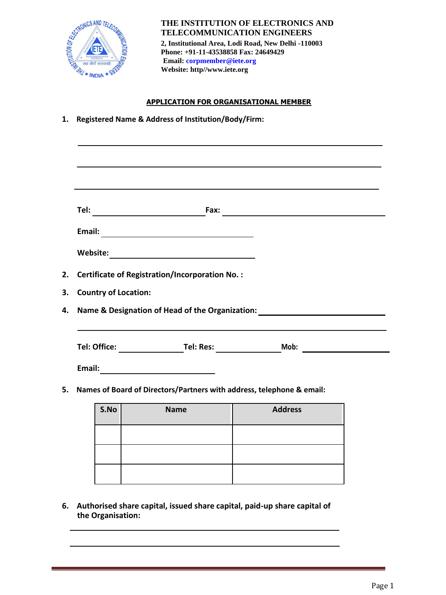

**THE INSTITUTION OF ELECTRONICS AND TELECOMMUNICATION ENGINEERS 2, Institutional Area, Lodi Road, New Delhi -110003 Phone: +91-11-43538858 Fax: 24649429 Email: corpmember@iete.org Website: [http//www.iete.org](http://www.iete.org/)**

## **APPLICATION FOR ORGANISATIONAL MEMBER**

**1. Registered Name & Address of Institution/Body/Firm:**

| <b>Certificate of Registration/Incorporation No.:</b><br>Name & Designation of Head of the Organization: ________________________________ |
|-------------------------------------------------------------------------------------------------------------------------------------------|
|                                                                                                                                           |
|                                                                                                                                           |
|                                                                                                                                           |
|                                                                                                                                           |
|                                                                                                                                           |
|                                                                                                                                           |
|                                                                                                                                           |
|                                                                                                                                           |
| 5. Names of Board of Directors/Partners with address, telephone & email:                                                                  |
| <b>Address</b>                                                                                                                            |
|                                                                                                                                           |

**6. Authorised share capital, issued share capital, paid-up share capital of the Organisation:**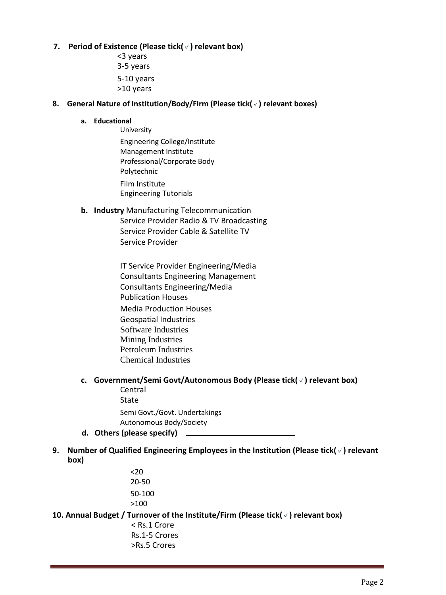## **7. Period of Existence (Please tick(**✓**) relevant box)**

<3 years 3-5 years 5-10 years >10 years

## **8. General Nature of Institution/Body/Firm (Please tick(**✓**) relevant boxes)**

#### **a. Educational**

University Engineering College/Institute Management Institute Professional/Corporate Body Polytechnic Film Institute Engineering Tutorials

## **b. Industry** Manufacturing Telecommunication

- Service Provider Radio & TV Broadcasting Service Provider Cable & Satellite TV Service Provider
- IT Service Provider Engineering/Media Consultants Engineering Management Consultants Engineering/Media Publication Houses Media Production Houses Geospatial Industries Software Industries Mining Industries Petroleum Industries Chemical Industries

# **c. Government/Semi Govt/Autonomous Body (Please tick(**✓**) relevant box)**

Central State Semi Govt./Govt. Undertakings

- Autonomous Body/Society **d. Others (please specify)**
- **9. Number of Qualified Engineering Employees in the Institution (Please tick(**✓**) relevant box)**
	- $<sub>20</sub>$ </sub> 20-50 50-100 >100

**10. Annual Budget / Turnover of the Institute/Firm (Please tick(**✓**) relevant box)**

< Rs.1 Crore Rs.1-5 Crores >Rs.5 Crores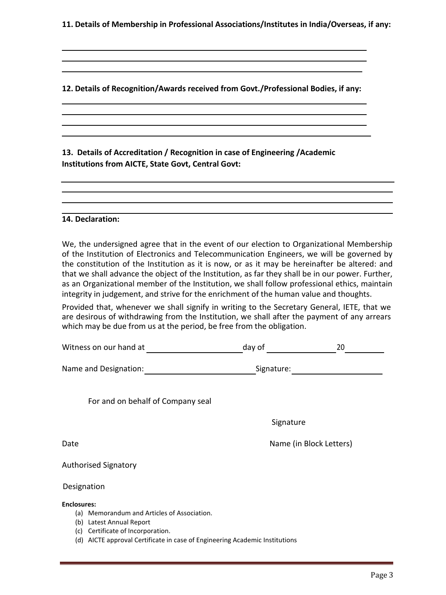**11. Details of Membership in Professional Associations/Institutes in India/Overseas, if any:**

**12. Details of Recognition/Awards received from Govt./Professional Bodies, if any:**

**13. Details of Accreditation / Recognition in case of Engineering /Academic Institutions from AICTE, State Govt, Central Govt:**

### **14. Declaration:**

We, the undersigned agree that in the event of our election to Organizational Membership of the Institution of Electronics and Telecommunication Engineers, we will be governed by the constitution of the Institution as it is now, or as it may be hereinafter be altered: and that we shall advance the object of the Institution, as far they shall be in our power. Further, as an Organizational member of the Institution, we shall follow professional ethics, maintain integrity in judgement, and strive for the enrichment of the human value and thoughts.

Provided that, whenever we shall signify in writing to the Secretary General, IETE, that we are desirous of withdrawing from the Institution, we shall after the payment of any arrears which may be due from us at the period, be free from the obligation.

| Witness on our hand at                                                                                                                                                                                                     | day of     | 20                      |
|----------------------------------------------------------------------------------------------------------------------------------------------------------------------------------------------------------------------------|------------|-------------------------|
| Name and Designation:                                                                                                                                                                                                      | Signature: |                         |
| For and on behalf of Company seal                                                                                                                                                                                          |            |                         |
|                                                                                                                                                                                                                            | Signature  |                         |
| Date                                                                                                                                                                                                                       |            | Name (in Block Letters) |
| <b>Authorised Signatory</b>                                                                                                                                                                                                |            |                         |
| Designation                                                                                                                                                                                                                |            |                         |
| <b>Enclosures:</b><br>(a) Memorandum and Articles of Association.<br>Latest Annual Report<br>(b)<br>Certificate of Incorporation.<br>(c)<br>AICTE approval Certificate in case of Engineering Academic Institutions<br>(d) |            |                         |